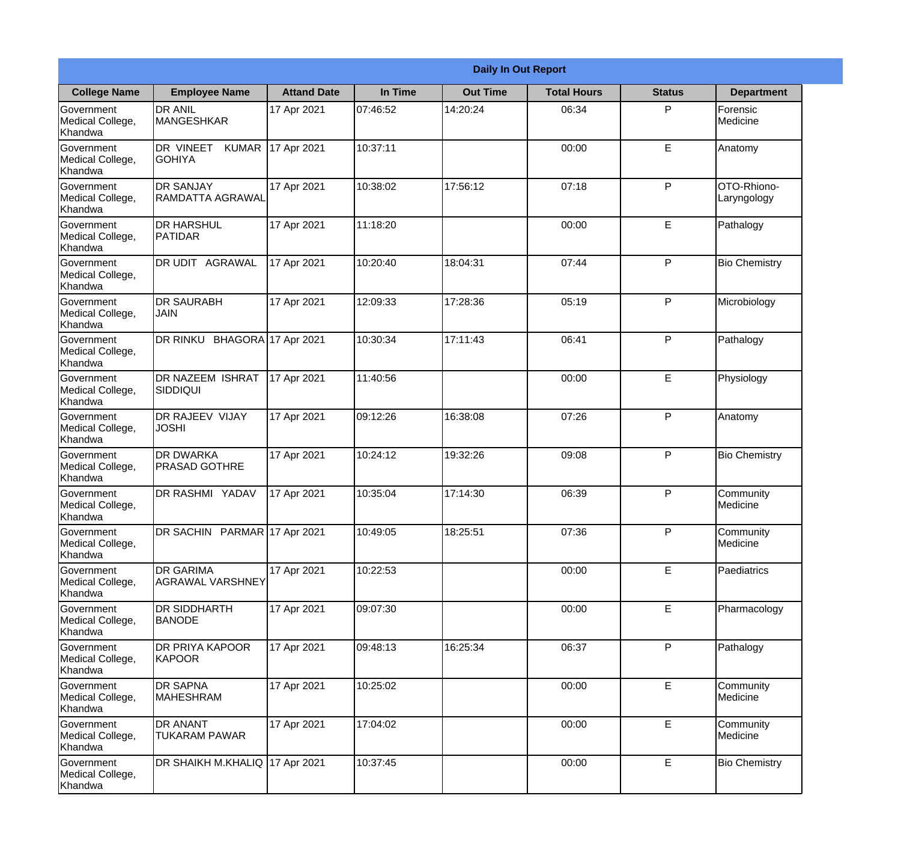|                                                  | <b>Daily In Out Report</b>                  |                    |          |                 |                    |               |                            |
|--------------------------------------------------|---------------------------------------------|--------------------|----------|-----------------|--------------------|---------------|----------------------------|
| <b>College Name</b>                              | <b>Employee Name</b>                        | <b>Attand Date</b> | In Time  | <b>Out Time</b> | <b>Total Hours</b> | <b>Status</b> | <b>Department</b>          |
| Government<br>Medical College,<br>Khandwa        | <b>DR ANIL</b><br><b>MANGESHKAR</b>         | 17 Apr 2021        | 07:46:52 | 14:20:24        | 06:34              | P             | Forensic<br>Medicine       |
| Government<br>Medical College,<br>Khandwa        | DR VINEET<br><b>KUMAR</b><br><b>GOHIYA</b>  | 17 Apr 2021        | 10:37:11 |                 | 00:00              | E             | Anatomy                    |
| <b>Government</b><br>Medical College,<br>Khandwa | <b>DR SANJAY</b><br><b>RAMDATTA AGRAWAL</b> | 17 Apr 2021        | 10:38:02 | 17:56:12        | 07:18              | P             | OTO-Rhiono-<br>Laryngology |
| Government<br>Medical College,<br>Khandwa        | <b>DR HARSHUL</b><br>PATIDAR                | 17 Apr 2021        | 11:18:20 |                 | 00:00              | E             | Pathalogy                  |
| Government<br>Medical College,<br>Khandwa        | <b>DR UDIT AGRAWAL</b>                      | 17 Apr 2021        | 10:20:40 | 18:04:31        | 07:44              | P             | <b>Bio Chemistry</b>       |
| Government<br>Medical College,<br>Khandwa        | <b>DR SAURABH</b><br><b>JAIN</b>            | 17 Apr 2021        | 12:09:33 | 17:28:36        | 05:19              | P             | Microbiology               |
| Government<br>Medical College,<br>Khandwa        | DR RINKU BHAGORA 17 Apr 2021                |                    | 10:30:34 | 17:11:43        | 06:41              | P             | Pathalogy                  |
| <b>Government</b><br>Medical College,<br>Khandwa | DR NAZEEM ISHRAT<br><b>SIDDIQUI</b>         | 17 Apr 2021        | 11:40:56 |                 | 00:00              | E             | Physiology                 |
| Government<br>Medical College,<br>Khandwa        | <b>DR RAJEEV VIJAY</b><br><b>JOSHI</b>      | 17 Apr 2021        | 09:12:26 | 16:38:08        | 07:26              | P             | Anatomy                    |
| Government<br>Medical College,<br>Khandwa        | <b>DR DWARKA</b><br><b>PRASAD GOTHRE</b>    | 17 Apr 2021        | 10:24:12 | 19:32:26        | 09:08              | P             | <b>Bio Chemistry</b>       |
| Government<br>Medical College,<br>Khandwa        | <b>DR RASHMI YADAV</b>                      | 17 Apr 2021        | 10:35:04 | 17:14:30        | 06:39              | P             | Community<br>Medicine      |
| Government<br>Medical College,<br>Khandwa        | DR SACHIN PARMAR 17 Apr 2021                |                    | 10:49:05 | 18:25:51        | 07:36              | P             | Community<br>Medicine      |
| Government<br>Medical College,<br>Khandwa        | <b>DR GARIMA</b><br><b>AGRAWAL VARSHNEY</b> | 17 Apr 2021        | 10:22:53 |                 | 00:00              | E             | Paediatrics                |
| Government<br>Medical College,<br>Khandwa        | <b>DR SIDDHARTH</b><br><b>BANODE</b>        | 17 Apr 2021        | 09:07:30 |                 | 00:00              | E             | Pharmacology               |
| Government<br>Medical College,<br>Khandwa        | <b>DR PRIYA KAPOOR</b><br>KAPOOR            | 17 Apr 2021        | 09:48:13 | 16:25:34        | 06:37              | P             | Pathalogy                  |
| Government<br>Medical College,<br>Khandwa        | <b>DR SAPNA</b><br><b>MAHESHRAM</b>         | 17 Apr 2021        | 10:25:02 |                 | 00:00              | E             | Community<br>Medicine      |
| Government<br>Medical College,<br>Khandwa        | <b>DR ANANT</b><br><b>TUKARAM PAWAR</b>     | 17 Apr 2021        | 17:04:02 |                 | 00:00              | E             | Community<br>Medicine      |
| Government<br>Medical College,<br>Khandwa        | DR SHAIKH M.KHALIQ 17 Apr 2021              |                    | 10:37:45 |                 | 00:00              | $\mathsf E$   | <b>Bio Chemistry</b>       |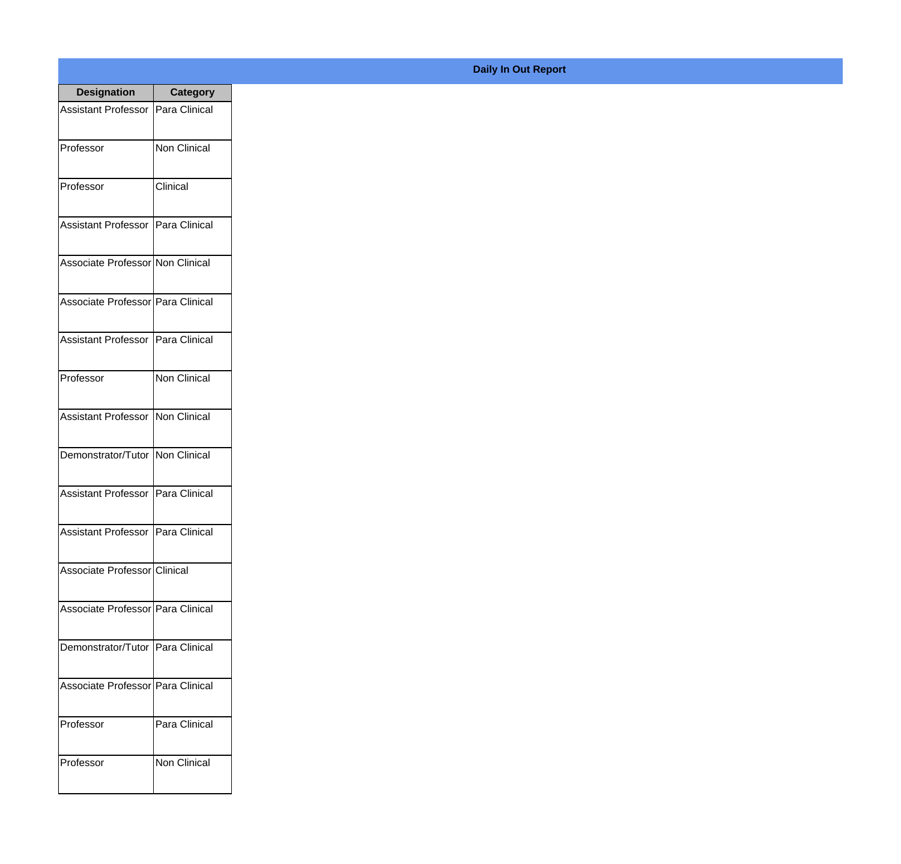| <b>Designation</b>                  | <b>Category</b>     |
|-------------------------------------|---------------------|
| <b>Assistant Professor</b>          | Para Clinical       |
| Professor                           | <b>Non Clinical</b> |
| Professor                           | Clinical            |
| Assistant Professor   Para Clinical |                     |
| Associate Professor Non Clinical    |                     |
| Associate Professor Para Clinical   |                     |
| Assistant Professor   Para Clinical |                     |
| Professor                           | Non Clinical        |
| Assistant Professor   Non Clinical  |                     |
| Demonstrator/Tutor   Non Clinical   |                     |
| Assistant Professor                 | Para Clinical       |
| <b>Assistant Professor</b>          | Para Clinical       |
| Associate Professor Clinical        |                     |
| Associate Professor   Para Clinical |                     |
| Demonstrator/Tutor   Para Clinical  |                     |
| Associate Professor   Para Clinical |                     |
| Professor                           | Para Clinical       |
| Professor                           | <b>Non Clinical</b> |

## **Daily In Out Report**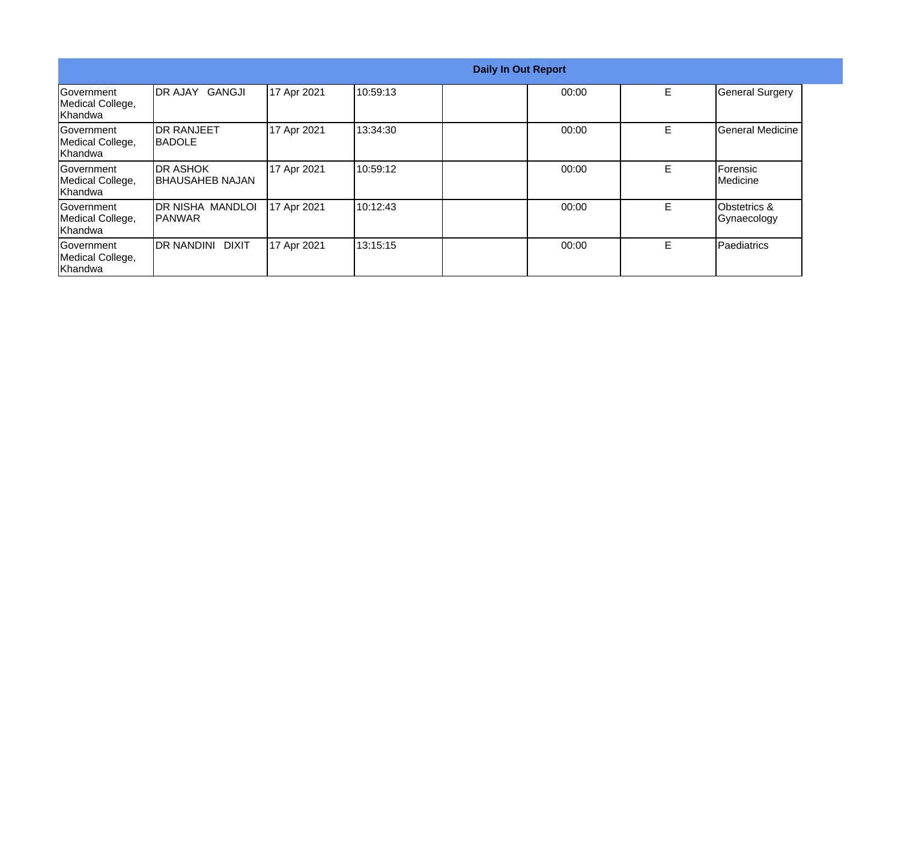|                                                  |                                            |             |          | <b>Daily In Out Report</b> |       |    |                                        |
|--------------------------------------------------|--------------------------------------------|-------------|----------|----------------------------|-------|----|----------------------------------------|
| <b>Government</b><br>Medical College,<br>Khandwa | GANGJI<br><b>DR AJAY</b>                   | 17 Apr 2021 | 10:59:13 |                            | 00:00 | E. | <b>General Surgery</b>                 |
| Government<br>Medical College,<br>Khandwa        | <b>IDR RANJEET</b><br><b>BADOLE</b>        | 17 Apr 2021 | 13:34:30 |                            | 00:00 | E  | General Medicine                       |
| <b>Sovernment</b><br>Medical College,<br>Khandwa | <b>IDR ASHOK</b><br><b>BHAUSAHEB NAJAN</b> | 17 Apr 2021 | 10:59:12 |                            | 00:00 | E  | Forensic<br>Medicine                   |
| <b>Sovernment</b><br>Medical College,<br>Khandwa | <b>DR NISHA MANDLOI</b><br><b>IPANWAR</b>  | 17 Apr 2021 | 10:12:43 |                            | 00:00 | E  | <b>Obstetrics &amp;</b><br>Gynaecology |
| Government<br>Medical College,<br>Khandwa        | <b>DR NANDINI</b><br><b>DIXIT</b>          | 17 Apr 2021 | 13:15:15 |                            | 00:00 | E  | Paediatrics                            |